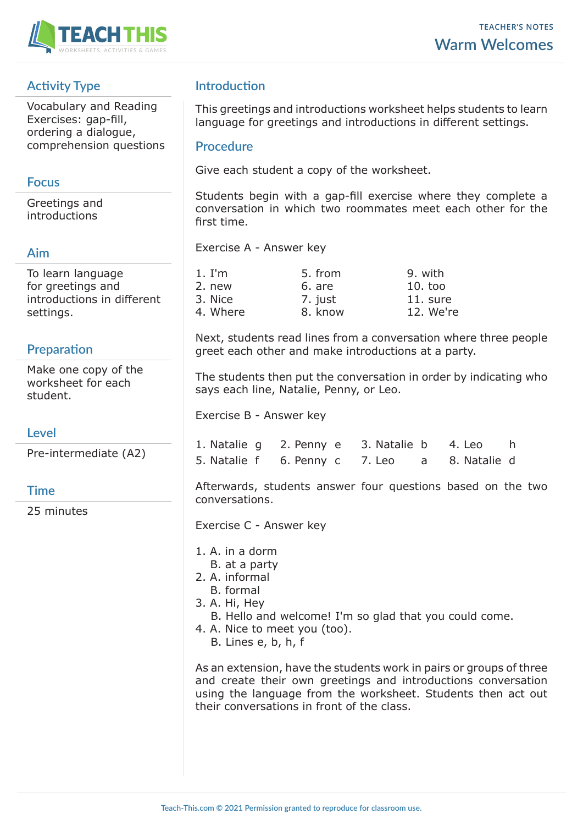

# **Activity Type**

Vocabulary and Reading Exercises: gap-fill, ordering a dialogue, comprehension questions

### **Focus**

Greetings and introductions

### **Aim**

To learn language for greetings and introductions in different settings.

## **Preparation**

Make one copy of the worksheet for each student.

#### **Level**

Pre-intermediate (A2)

## **Time**

25 minutes

## **Introduction**

This greetings and introductions worksheet helps students to learn language for greetings and introductions in different settings.

#### **Procedure**

Give each student a copy of the worksheet.

Students begin with a gap-fill exercise where they complete a conversation in which two roommates meet each other for the first time.

Exercise A - Answer key

| 1. I'm   | 5. from | 9. with    |
|----------|---------|------------|
| 2. new   | 6. are  | $10.$ too  |
| 3. Nice  | 7. just | $11.$ sure |
| 4. Where | 8. know | 12. We're  |

Next, students read lines from a conversation where three people greet each other and make introductions at a party.

The students then put the conversation in order by indicating who says each line, Natalie, Penny, or Leo.

Exercise B - Answer key

| 1. Natalie g 2. Penny e 3. Natalie b 4. Leo h |  |  |
|-----------------------------------------------|--|--|
| 5. Natalie f 6. Penny c 7. Leo a 8. Natalie d |  |  |

Afterwards, students answer four questions based on the two conversations.

Exercise C - Answer key

- 1. A. in a dorm
- B. at a party
- 2. A. informal
	- B. formal
- 3. A. Hi, Hey
	- B. Hello and welcome! I'm so glad that you could come.
- 4. A. Nice to meet you (too).
	- B. Lines e, b, h, f

As an extension, have the students work in pairs or groups of three and create their own greetings and introductions conversation using the language from the worksheet. Students then act out their conversations in front of the class.